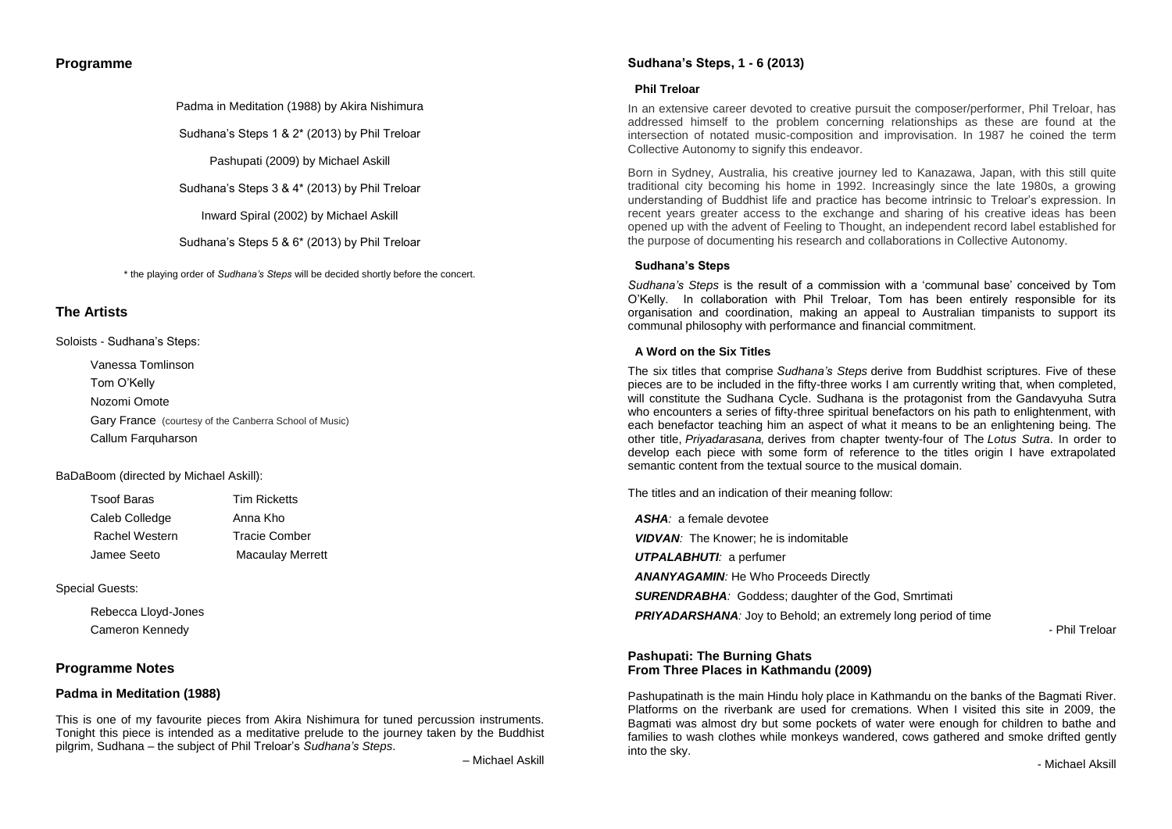# **Programme**

Padma in Meditation (1988) by Akira Nishimura

Sudhana's Steps 1 & 2\* (2013) by Phil Treloar

Pashupati (2009) by Michael Askill

Sudhana's Steps 3 & 4\* (2013) by Phil Treloar

Inward Spiral (2002) by Michael Askill

Sudhana's Steps 5 & 6\* (2013) by Phil Treloar

\* the playing order of *Sudhana's Steps* will be decided shortly before the concert.

# **The Artists**

Soloists - Sudhana's Steps:

Vanessa Tomlinson Tom O'Kelly Nozomi Omote Gary France (courtesy of the Canberra School of Music) Callum Farquharson

#### BaDaBoom (directed by Michael Askill):

| Tsoof Baras           | <b>Tim Ricketts</b>     |
|-----------------------|-------------------------|
| Caleb Colledge        | Anna Kho                |
| <b>Rachel Western</b> | <b>Tracie Comber</b>    |
| Jamee Seeto           | <b>Macaulay Merrett</b> |

Special Guests:

Rebecca Lloyd-Jones Cameron Kennedy

# **Programme Notes**

### **Padma in Meditation (1988)**

This is one of my favourite pieces from Akira Nishimura for tuned percussion instruments. Tonight this piece is intended as a meditative prelude to the journey taken by the Buddhist pilgrim, Sudhana – the subject of Phil Treloar's *Sudhana's Steps*.

– Michael Askill

# **Sudhana's Steps, 1 - 6 (2013)**

#### **Phil Treloar**

In an extensive career devoted to creative pursuit the composer/performer, Phil Treloar, has addressed himself to the problem concerning relationships as these are found at the intersection of notated music-composition and improvisation. In 1987 he coined the term Collective Autonomy to signify this endeavor.

*ASHA:* a female devotee *VIDVAN:* The Knower; he is indomitable *UTPALABHUTI:* a perfumer **ANANYAGAMIN**: He Who Proceeds Directly *SURENDRABHA:* Goddess; daughter of the God, Smrtimati **PRIYADARSHANA**: Joy to Behold; an extremely long period of time

Born in Sydney, Australia, his creative journey led to Kanazawa, Japan, with this still quite traditional city becoming his home in 1992. Increasingly since the late 1980s, a growing understanding of Buddhist life and practice has become intrinsic to Treloar's expression. In recent years greater access to the exchange and sharing of his creative ideas has been opened up with the advent of Feeling to Thought, an independent record label established for the purpose of documenting his research and collaborations in Collective Autonomy.

#### **Sudhana's Steps**

*Sudhana's Steps* is the result of a commission with a 'communal base' conceived by Tom O'Kelly. In collaboration with Phil Treloar, Tom has been entirely responsible for its organisation and coordination, making an appeal to Australian timpanists to support its communal philosophy with performance and financial commitment.

#### **A Word on the Six Titles**

The six titles that comprise *Sudhana's Steps* derive from Buddhist scriptures. Five of these pieces are to be included in the fifty-three works I am currently writing that, when completed, will constitute the Sudhana Cycle. Sudhana is the protagonist from the Gandavyuha Sutra who encounters a series of fifty-three spiritual benefactors on his path to enlightenment, with each benefactor teaching him an aspect of what it means to be an enlightening being. The other title, *Priyadarasana,* derives from chapter twenty-four of The *Lotus Sutra*. In order to develop each piece with some form of reference to the titles origin I have extrapolated semantic content from the textual source to the musical domain.

The titles and an indication of their meaning follow:

- Phil Treloar

### **Pashupati: The Burning Ghats From Three Places in Kathmandu (2009)**

Pashupatinath is the main Hindu holy place in Kathmandu on the banks of the Bagmati River. Platforms on the riverbank are used for cremations. When I visited this site in 2009, the Bagmati was almost dry but some pockets of water were enough for children to bathe and families to wash clothes while monkeys wandered, cows gathered and smoke drifted gently into the sky.

- Michael Aksill